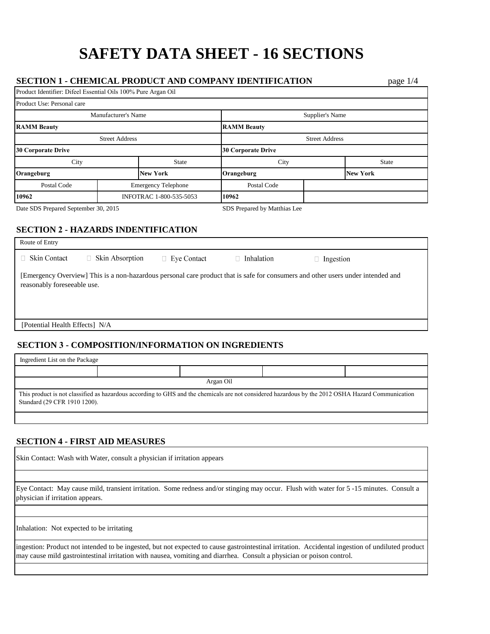# **SAFETY DATA SHEET - 16 SECTIONS**

#### **SECTION 1 - CHEMICAL PRODUCT AND COMPANY IDENTIFICATION** page 1/4 Product Identifier: Difeel Essential Oils 100% Pure Argan Oil

٦

| Product Use: Personal care           |                         |                              |                           |                 |                 |  |
|--------------------------------------|-------------------------|------------------------------|---------------------------|-----------------|-----------------|--|
| Manufacturer's Name                  |                         |                              |                           | Supplier's Name |                 |  |
| <b>RAMM Beauty</b>                   |                         |                              | <b>RAMM Beauty</b>        |                 |                 |  |
| <b>Street Address</b>                |                         |                              | <b>Street Address</b>     |                 |                 |  |
| <b>30 Corporate Drive</b>            |                         |                              | <b>30 Corporate Drive</b> |                 |                 |  |
| City                                 |                         | <b>State</b>                 | City                      |                 | <b>State</b>    |  |
| Orangeburg                           |                         | <b>New York</b>              | Orangeburg                |                 | <b>New York</b> |  |
| Postal Code                          |                         | <b>Emergency Telephone</b>   | Postal Code               |                 |                 |  |
| 10962                                | INFOTRAC 1-800-535-5053 |                              | 10962                     |                 |                 |  |
| Date SDS Prepared September 30, 2015 |                         | SDS Prepared by Matthias Lee |                           |                 |                 |  |

## **SECTION 2 - HAZARDS INDENTIFICATION**

| Route of Entry                                                                                                                                                  |                        |                    |            |           |
|-----------------------------------------------------------------------------------------------------------------------------------------------------------------|------------------------|--------------------|------------|-----------|
| <b>Skin Contact</b>                                                                                                                                             | $\Box$ Skin Absorption | $\Box$ Eye Contact | Inhalation | Ingestion |
| [Emergency Overview] This is a non-hazardous personal care product that is safe for consumers and other users under intended and<br>reasonably foreseeable use. |                        |                    |            |           |
| [Potential Health Effects] N/A                                                                                                                                  |                        |                    |            |           |
| <b>SECTION 3 - COMPOSITION/INFORMATION ON INGREDIENTS</b>                                                                                                       |                        |                    |            |           |

| Argan Oil<br>This product is not classified as hazardous according to GHS and the chemicals are not considered hazardous by the 2012 OSHA Hazard Communication<br>Standard (29 CFR 1910 1200). | Ingredient List on the Package |  |  |  |  |
|------------------------------------------------------------------------------------------------------------------------------------------------------------------------------------------------|--------------------------------|--|--|--|--|
|                                                                                                                                                                                                |                                |  |  |  |  |
|                                                                                                                                                                                                |                                |  |  |  |  |
|                                                                                                                                                                                                |                                |  |  |  |  |

## **SECTION 4 - FIRST AID MEASURES**

| <b>Solut</b> Contact: Wash with Water, consult a physician if irritation appears                                                                                                                                                                                          |  |  |
|---------------------------------------------------------------------------------------------------------------------------------------------------------------------------------------------------------------------------------------------------------------------------|--|--|
|                                                                                                                                                                                                                                                                           |  |  |
| Eye Contact: May cause mild, transient irritation. Some redness and/or stinging may occur. Flush with water for 5-15 minutes. Consult a<br>physician if irritation appears.                                                                                               |  |  |
|                                                                                                                                                                                                                                                                           |  |  |
| Inhalation: Not expected to be irritating                                                                                                                                                                                                                                 |  |  |
| ingestion: Product not intended to be ingested, but not expected to cause gastrointestinal irritation. Accidental ingestion of undiluted product<br>may cause mild gastrointestinal irritation with nausea, vomiting and diarrhea. Consult a physician or poison control. |  |  |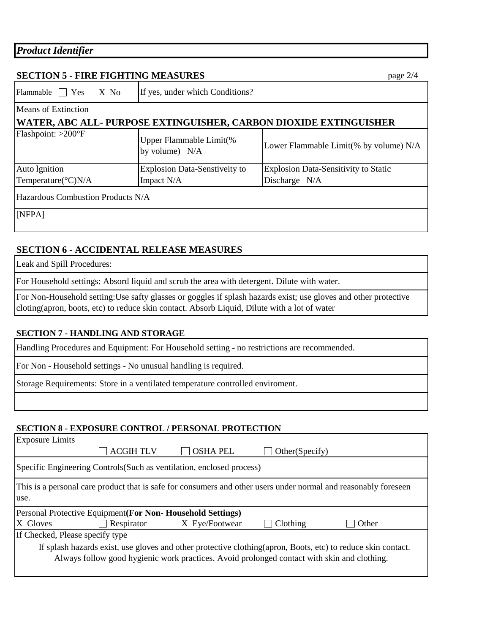|  | <b>Product Identifier</b> |  |
|--|---------------------------|--|
|--|---------------------------|--|

## **SECTION 5 - FIRE FIGHTING MEASURES** page 2/4

Flammable  $\Box$  Yes X No **WATER, ABC ALL- PURPOSE EXTINGUISHER, CARBON DIOXIDE EXTINGUISHER** [NFPA] Auto lgnition Temperature(°C)N/A Explosion Data-Senstiveity to Impact N/A Explosion Data-Sensitivity to Static Discharge N/A Hazardous Combustion Products N/A If yes, under which Conditions? Means of Extinction Flashpoint: >200°F Upper Flammable Limit(% by volume)  $N/A$  Lower Flammable Limit(% by volume)  $N/A$ 

## **SECTION 6 - ACCIDENTAL RELEASE MEASURES**

Leak and Spill Procedures:

For Household settings: Absord liquid and scrub the area with detergent. Dilute with water.

For Non-Household setting:Use safty glasses or goggles if splash hazards exist; use gloves and other protective cloting(apron, boots, etc) to reduce skin contact. Absorb Liquid, Dilute with a lot of water

## **SECTION 7 - HANDLING AND STORAGE**

Handling Procedures and Equipment: For Household setting - no restrictions are recommended.

For Non - Household settings - No unusual handling is required.

Storage Requirements: Store in a ventilated temperature controlled enviroment.

#### **SECTION 8 - EXPOSURE CONTROL / PERSONAL PROTECTION**

| <b>Exposure Limits</b>                                                                                                  |                                                            |                 |                |       |
|-------------------------------------------------------------------------------------------------------------------------|------------------------------------------------------------|-----------------|----------------|-------|
|                                                                                                                         | <b>ACGIHTLV</b>                                            | <b>OSHA PEL</b> | Other(Specify) |       |
| Specific Engineering Controls (Such as ventilation, enclosed process)                                                   |                                                            |                 |                |       |
| This is a personal care product that is safe for consumers and other users under normal and reasonably foreseen<br>use. |                                                            |                 |                |       |
|                                                                                                                         | Personal Protective Equipment (For Non-Household Settings) |                 |                |       |
| X Gloves                                                                                                                | Respirator                                                 | X Eye/Footwear  | Clothing       | Other |
| If Checked, Please specify type                                                                                         |                                                            |                 |                |       |
|                                                                                                                         |                                                            |                 |                |       |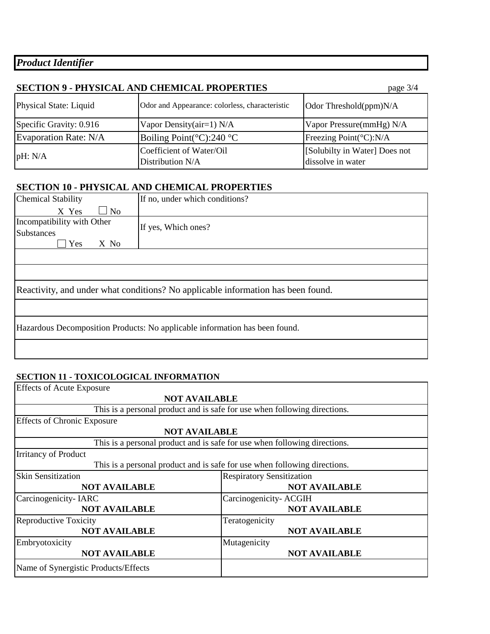*Product Identifier*

| <b>SECTION 9 - PHYSICAL AND CHEMICAL PROPERTIES</b><br>page $3/4$ |                                                |                                                    |  |  |
|-------------------------------------------------------------------|------------------------------------------------|----------------------------------------------------|--|--|
| Physical State: Liquid                                            | Odor and Appearance: colorless, characteristic | Odor Threshold(ppm)N/A                             |  |  |
| Specific Gravity: 0.916                                           | Vapor Density(air=1) N/A                       | Vapor Pressure(mmHg) N/A                           |  |  |
| Evaporation Rate: N/A                                             | Boiling Point( $^{\circ}$ C):240 $^{\circ}$ C  | Freezing Point(°C):N/A                             |  |  |
| pH: N/A                                                           | Coefficient of Water/Oil<br>Distribution N/A   | [Solubilty in Water] Does not<br>dissolve in water |  |  |

# **SECTION 10 - PHYSICAL AND CHEMICAL PROPERTIES**

| Chemical Stability                                             | If no, under which conditions?                                                   |
|----------------------------------------------------------------|----------------------------------------------------------------------------------|
| $\Box$ No<br>X Yes                                             |                                                                                  |
| Incompatibility with Other<br><b>Substances</b><br>Yes<br>X No | If yes, Which ones?                                                              |
|                                                                |                                                                                  |
|                                                                |                                                                                  |
|                                                                | Reactivity, and under what conditions? No applicable information has been found. |
|                                                                |                                                                                  |
|                                                                | Hazardous Decomposition Products: No applicable information has been found.      |
|                                                                |                                                                                  |

## **SECTION 11 - TOXICOLOGICAL INFORMATION**

| <b>Effects of Acute Exposure</b>                                          |                                                                           |  |  |  |
|---------------------------------------------------------------------------|---------------------------------------------------------------------------|--|--|--|
| <b>NOT AVAILABLE</b>                                                      |                                                                           |  |  |  |
|                                                                           | This is a personal product and is safe for use when following directions. |  |  |  |
| <b>Effects of Chronic Exposure</b>                                        |                                                                           |  |  |  |
| <b>NOT AVAILABLE</b>                                                      |                                                                           |  |  |  |
| This is a personal product and is safe for use when following directions. |                                                                           |  |  |  |
| <b>Irritancy of Product</b>                                               |                                                                           |  |  |  |
| This is a personal product and is safe for use when following directions. |                                                                           |  |  |  |
| <b>Skin Sensitization</b>                                                 | <b>Respiratory Sensitization</b>                                          |  |  |  |
| <b>NOT AVAILABLE</b>                                                      | <b>NOT AVAILABLE</b>                                                      |  |  |  |
| Carcinogenicity-IARC                                                      | Carcinogenicity-ACGIH                                                     |  |  |  |
| <b>NOT AVAILABLE</b>                                                      | <b>NOT AVAILABLE</b>                                                      |  |  |  |
| Reproductive Toxicity                                                     | Teratogenicity                                                            |  |  |  |
| <b>NOT AVAILABLE</b>                                                      | <b>NOT AVAILABLE</b>                                                      |  |  |  |
| Embryotoxicity                                                            | Mutagenicity                                                              |  |  |  |
| <b>NOT AVAILABLE</b>                                                      | <b>NOT AVAILABLE</b>                                                      |  |  |  |
| Name of Synergistic Products/Effects                                      |                                                                           |  |  |  |